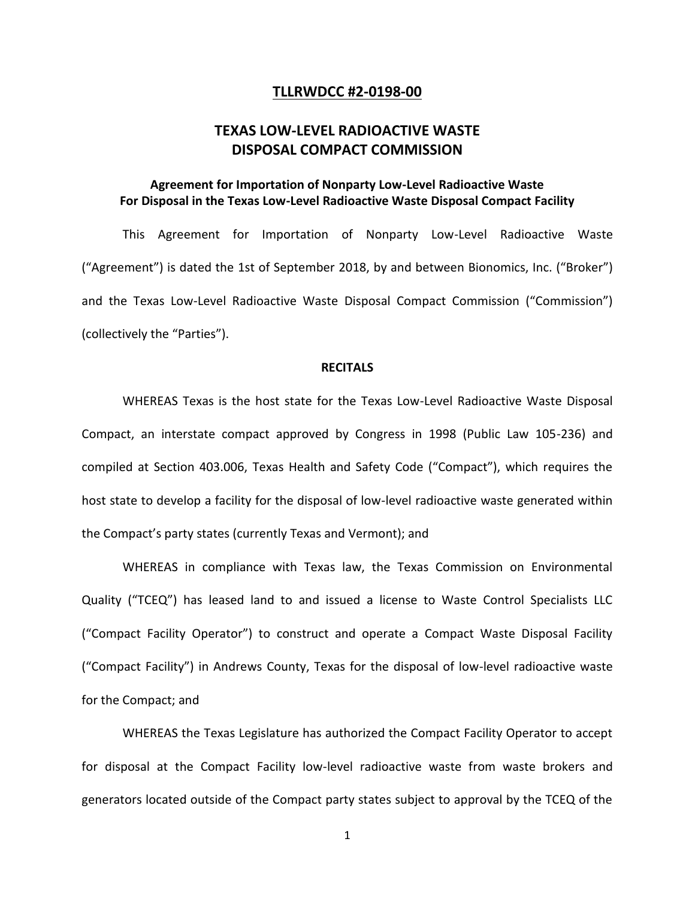#### **TLLRWDCC #2-0198-00**

# **TEXAS LOW-LEVEL RADIOACTIVE WASTE DISPOSAL COMPACT COMMISSION**

## **Agreement for Importation of Nonparty Low-Level Radioactive Waste For Disposal in the Texas Low-Level Radioactive Waste Disposal Compact Facility**

This Agreement for Importation of Nonparty Low-Level Radioactive Waste ("Agreement") is dated the 1st of September 2018, by and between Bionomics, Inc. ("Broker") and the Texas Low-Level Radioactive Waste Disposal Compact Commission ("Commission") (collectively the "Parties").

#### **RECITALS**

WHEREAS Texas is the host state for the Texas Low-Level Radioactive Waste Disposal Compact, an interstate compact approved by Congress in 1998 (Public Law 105-236) and compiled at Section 403.006, Texas Health and Safety Code ("Compact"), which requires the host state to develop a facility for the disposal of low-level radioactive waste generated within the Compact's party states (currently Texas and Vermont); and

WHEREAS in compliance with Texas law, the Texas Commission on Environmental Quality ("TCEQ") has leased land to and issued a license to Waste Control Specialists LLC ("Compact Facility Operator") to construct and operate a Compact Waste Disposal Facility ("Compact Facility") in Andrews County, Texas for the disposal of low-level radioactive waste for the Compact; and

WHEREAS the Texas Legislature has authorized the Compact Facility Operator to accept for disposal at the Compact Facility low-level radioactive waste from waste brokers and generators located outside of the Compact party states subject to approval by the TCEQ of the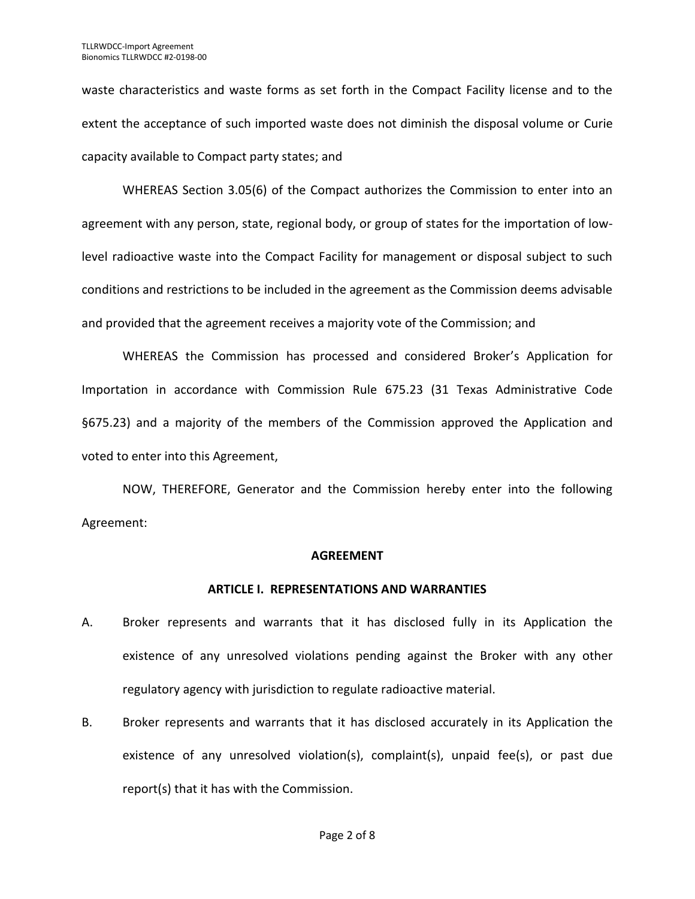waste characteristics and waste forms as set forth in the Compact Facility license and to the extent the acceptance of such imported waste does not diminish the disposal volume or Curie capacity available to Compact party states; and

WHEREAS Section 3.05(6) of the Compact authorizes the Commission to enter into an agreement with any person, state, regional body, or group of states for the importation of lowlevel radioactive waste into the Compact Facility for management or disposal subject to such conditions and restrictions to be included in the agreement as the Commission deems advisable and provided that the agreement receives a majority vote of the Commission; and

WHEREAS the Commission has processed and considered Broker's Application for Importation in accordance with Commission Rule 675.23 (31 Texas Administrative Code §675.23) and a majority of the members of the Commission approved the Application and voted to enter into this Agreement,

NOW, THEREFORE, Generator and the Commission hereby enter into the following Agreement:

#### **AGREEMENT**

### **ARTICLE I. REPRESENTATIONS AND WARRANTIES**

- A. Broker represents and warrants that it has disclosed fully in its Application the existence of any unresolved violations pending against the Broker with any other regulatory agency with jurisdiction to regulate radioactive material.
- B. Broker represents and warrants that it has disclosed accurately in its Application the existence of any unresolved violation(s), complaint(s), unpaid fee(s), or past due report(s) that it has with the Commission.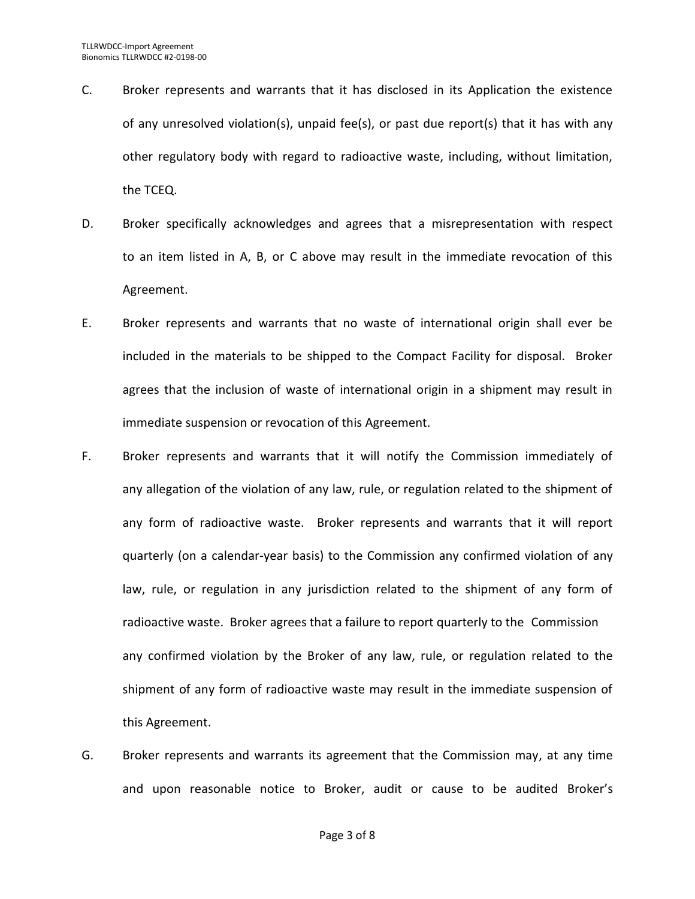- C. Broker represents and warrants that it has disclosed in its Application the existence of any unresolved violation(s), unpaid fee(s), or past due report(s) that it has with any other regulatory body with regard to radioactive waste, including, without limitation, the TCEQ.
- D. Broker specifically acknowledges and agrees that a misrepresentation with respect to an item listed in A, B, or C above may result in the immediate revocation of this Agreement.
- E. Broker represents and warrants that no waste of international origin shall ever be included in the materials to be shipped to the Compact Facility for disposal. Broker agrees that the inclusion of waste of international origin in a shipment may result in immediate suspension or revocation of this Agreement.
- F. Broker represents and warrants that it will notify the Commission immediately of any allegation of the violation of any law, rule, or regulation related to the shipment of any form of radioactive waste. Broker represents and warrants that it will report quarterly (on a calendar-year basis) to the Commission any confirmed violation of any law, rule, or regulation in any jurisdiction related to the shipment of any form of radioactive waste. Broker agrees that a failure to report quarterly to the Commission any confirmed violation by the Broker of any law, rule, or regulation related to the shipment of any form of radioactive waste may result in the immediate suspension of this Agreement.
- G. Broker represents and warrants its agreement that the Commission may, at any time and upon reasonable notice to Broker, audit or cause to be audited Broker's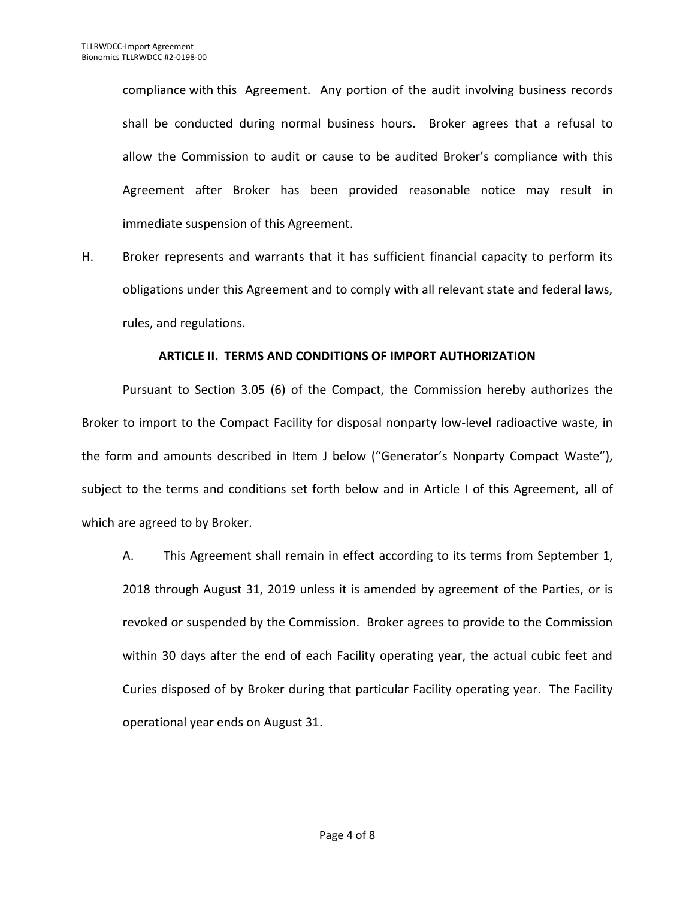compliance with this Agreement. Any portion of the audit involving business records shall be conducted during normal business hours. Broker agrees that a refusal to allow the Commission to audit or cause to be audited Broker's compliance with this Agreement after Broker has been provided reasonable notice may result in immediate suspension of this Agreement.

H. Broker represents and warrants that it has sufficient financial capacity to perform its obligations under this Agreement and to comply with all relevant state and federal laws, rules, and regulations.

## **ARTICLE II. TERMS AND CONDITIONS OF IMPORT AUTHORIZATION**

Pursuant to Section 3.05 (6) of the Compact, the Commission hereby authorizes the Broker to import to the Compact Facility for disposal nonparty low-level radioactive waste, in the form and amounts described in Item J below ("Generator's Nonparty Compact Waste"), subject to the terms and conditions set forth below and in Article I of this Agreement, all of which are agreed to by Broker.

A. This Agreement shall remain in effect according to its terms from September 1, 2018 through August 31, 2019 unless it is amended by agreement of the Parties, or is revoked or suspended by the Commission. Broker agrees to provide to the Commission within 30 days after the end of each Facility operating year, the actual cubic feet and Curies disposed of by Broker during that particular Facility operating year. The Facility operational year ends on August 31.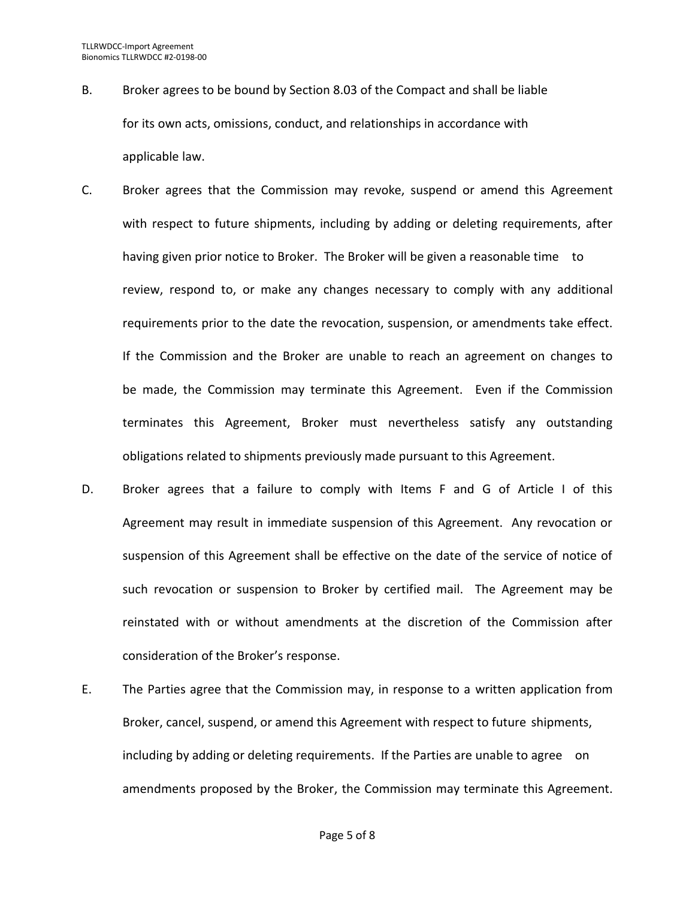- B. Broker agrees to be bound by Section 8.03 of the Compact and shall be liable for its own acts, omissions, conduct, and relationships in accordance with applicable law.
- C. Broker agrees that the Commission may revoke, suspend or amend this Agreement with respect to future shipments, including by adding or deleting requirements, after having given prior notice to Broker. The Broker will be given a reasonable time to review, respond to, or make any changes necessary to comply with any additional requirements prior to the date the revocation, suspension, or amendments take effect. If the Commission and the Broker are unable to reach an agreement on changes to be made, the Commission may terminate this Agreement. Even if the Commission terminates this Agreement, Broker must nevertheless satisfy any outstanding obligations related to shipments previously made pursuant to this Agreement.
- D. Broker agrees that a failure to comply with Items F and G of Article I of this Agreement may result in immediate suspension of this Agreement. Any revocation or suspension of this Agreement shall be effective on the date of the service of notice of such revocation or suspension to Broker by certified mail. The Agreement may be reinstated with or without amendments at the discretion of the Commission after consideration of the Broker's response.
- E. The Parties agree that the Commission may, in response to a written application from Broker, cancel, suspend, or amend this Agreement with respect to future shipments, including by adding or deleting requirements. If the Parties are unable to agree on amendments proposed by the Broker, the Commission may terminate this Agreement.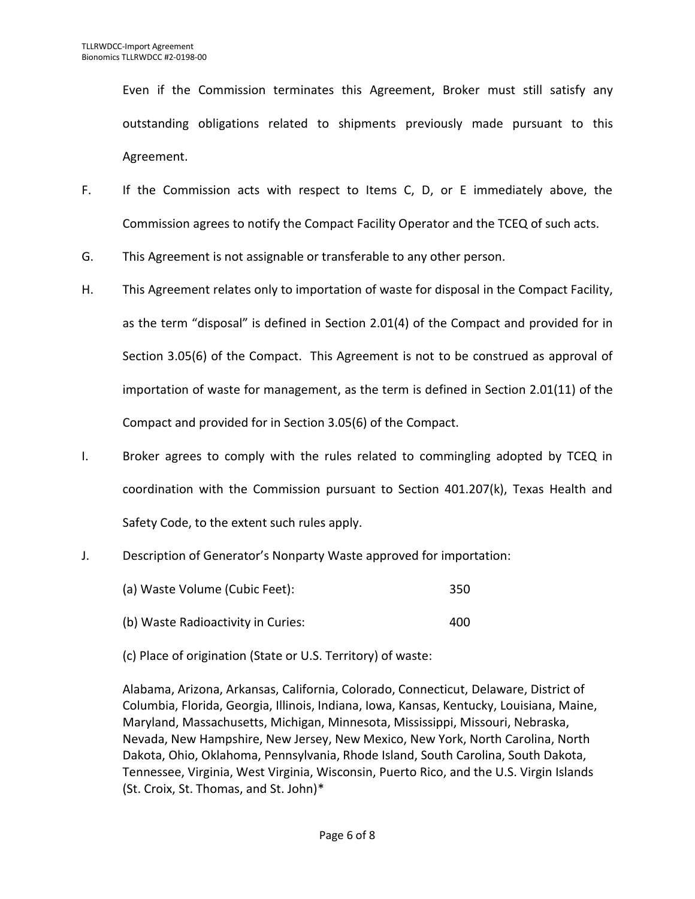Even if the Commission terminates this Agreement, Broker must still satisfy any outstanding obligations related to shipments previously made pursuant to this Agreement.

- F. If the Commission acts with respect to Items C, D, or E immediately above, the Commission agrees to notify the Compact Facility Operator and the TCEQ of such acts.
- G. This Agreement is not assignable or transferable to any other person.
- H. This Agreement relates only to importation of waste for disposal in the Compact Facility, as the term "disposal" is defined in Section 2.01(4) of the Compact and provided for in Section 3.05(6) of the Compact. This Agreement is not to be construed as approval of importation of waste for management, as the term is defined in Section 2.01(11) of the Compact and provided for in Section 3.05(6) of the Compact.
- I. Broker agrees to comply with the rules related to commingling adopted by TCEQ in coordination with the Commission pursuant to Section 401.207(k), Texas Health and Safety Code, to the extent such rules apply.
- J. Description of Generator's Nonparty Waste approved for importation:
	- (a) Waste Volume (Cubic Feet): 350 (b) Waste Radioactivity in Curies: 400
	- (c) Place of origination (State or U.S. Territory) of waste:

Alabama, Arizona, Arkansas, California, Colorado, Connecticut, Delaware, District of Columbia, Florida, Georgia, Illinois, Indiana, Iowa, Kansas, Kentucky, Louisiana, Maine, Maryland, Massachusetts, Michigan, Minnesota, Mississippi, Missouri, Nebraska, Nevada, New Hampshire, New Jersey, New Mexico, New York, North Carolina, North Dakota, Ohio, Oklahoma, Pennsylvania, Rhode Island, South Carolina, South Dakota, Tennessee, Virginia, West Virginia, Wisconsin, Puerto Rico, and the U.S. Virgin Islands (St. Croix, St. Thomas, and St. John)\*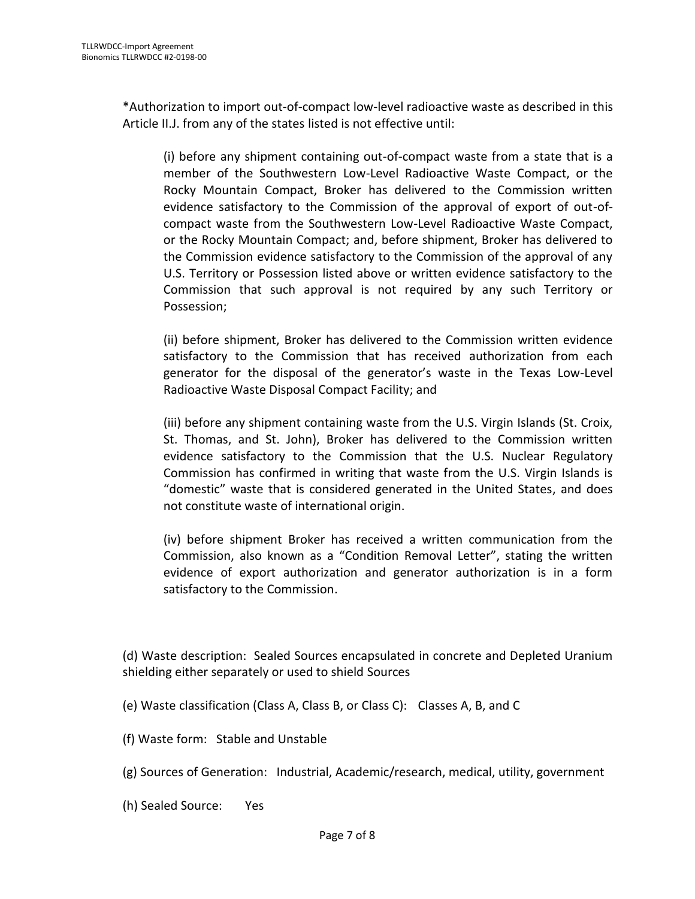\*Authorization to import out-of-compact low-level radioactive waste as described in this Article II.J. from any of the states listed is not effective until:

(i) before any shipment containing out-of-compact waste from a state that is a member of the Southwestern Low-Level Radioactive Waste Compact, or the Rocky Mountain Compact, Broker has delivered to the Commission written evidence satisfactory to the Commission of the approval of export of out-ofcompact waste from the Southwestern Low-Level Radioactive Waste Compact, or the Rocky Mountain Compact; and, before shipment, Broker has delivered to the Commission evidence satisfactory to the Commission of the approval of any U.S. Territory or Possession listed above or written evidence satisfactory to the Commission that such approval is not required by any such Territory or Possession;

(ii) before shipment, Broker has delivered to the Commission written evidence satisfactory to the Commission that has received authorization from each generator for the disposal of the generator's waste in the Texas Low-Level Radioactive Waste Disposal Compact Facility; and

(iii) before any shipment containing waste from the U.S. Virgin Islands (St. Croix, St. Thomas, and St. John), Broker has delivered to the Commission written evidence satisfactory to the Commission that the U.S. Nuclear Regulatory Commission has confirmed in writing that waste from the U.S. Virgin Islands is "domestic" waste that is considered generated in the United States, and does not constitute waste of international origin.

(iv) before shipment Broker has received a written communication from the Commission, also known as a "Condition Removal Letter", stating the written evidence of export authorization and generator authorization is in a form satisfactory to the Commission.

(d) Waste description: Sealed Sources encapsulated in concrete and Depleted Uranium shielding either separately or used to shield Sources

(e) Waste classification (Class A, Class B, or Class C): Classes A, B, and C

(f) Waste form: Stable and Unstable

(g) Sources of Generation: Industrial, Academic/research, medical, utility, government

(h) Sealed Source: Yes